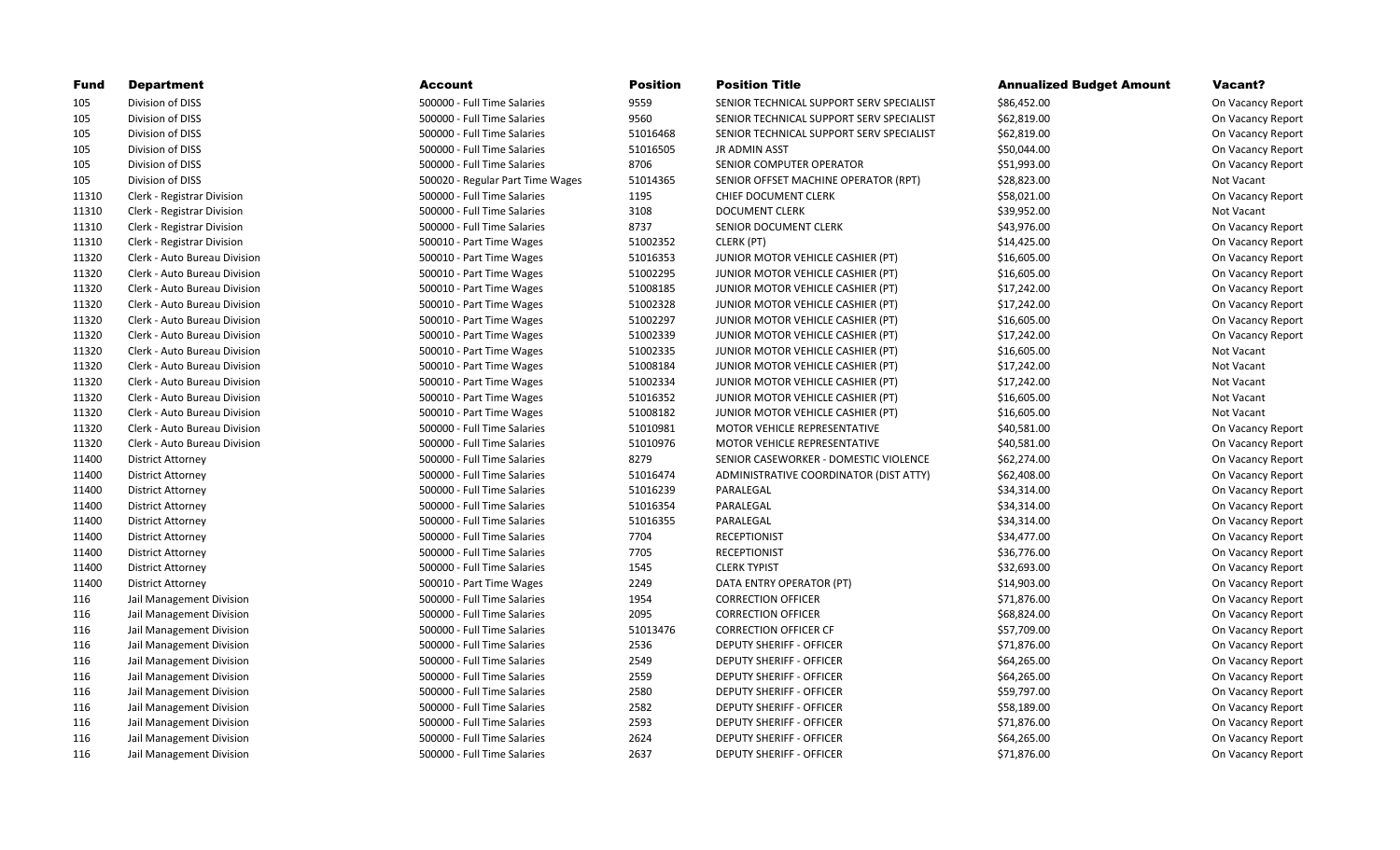| <b>Fund</b> | <b>Department</b>            | <b>Account</b>                   | <b>Position</b> | <b>Position Title</b>                    | <b>Annualized Budget Amount</b> | Vacant?           |
|-------------|------------------------------|----------------------------------|-----------------|------------------------------------------|---------------------------------|-------------------|
| 105         | Division of DISS             | 500000 - Full Time Salaries      | 9559            | SENIOR TECHNICAL SUPPORT SERV SPECIALIST | \$86,452.00                     | On Vacancy Report |
| 105         | Division of DISS             | 500000 - Full Time Salaries      | 9560            | SENIOR TECHNICAL SUPPORT SERV SPECIALIST | \$62,819.00                     | On Vacancy Report |
| 105         | Division of DISS             | 500000 - Full Time Salaries      | 51016468        | SENIOR TECHNICAL SUPPORT SERV SPECIALIST | \$62,819.00                     | On Vacancy Report |
| 105         | Division of DISS             | 500000 - Full Time Salaries      | 51016505        | JR ADMIN ASST                            | \$50,044.00                     | On Vacancy Report |
| 105         | Division of DISS             | 500000 - Full Time Salaries      | 8706            | SENIOR COMPUTER OPERATOR                 | \$51,993.00                     | On Vacancy Report |
| 105         | Division of DISS             | 500020 - Regular Part Time Wages | 51014365        | SENIOR OFFSET MACHINE OPERATOR (RPT)     | \$28,823.00                     | Not Vacant        |
| 11310       | Clerk - Registrar Division   | 500000 - Full Time Salaries      | 1195            | CHIEF DOCUMENT CLERK                     | \$58,021.00                     | On Vacancy Report |
| 11310       | Clerk - Registrar Division   | 500000 - Full Time Salaries      | 3108            | <b>DOCUMENT CLERK</b>                    | \$39,952.00                     | Not Vacant        |
| 11310       | Clerk - Registrar Division   | 500000 - Full Time Salaries      | 8737            | SENIOR DOCUMENT CLERK                    | \$43,976.00                     | On Vacancy Report |
| 11310       | Clerk - Registrar Division   | 500010 - Part Time Wages         | 51002352        | CLERK (PT)                               | \$14,425.00                     | On Vacancy Report |
| 11320       | Clerk - Auto Bureau Division | 500010 - Part Time Wages         | 51016353        | JUNIOR MOTOR VEHICLE CASHIER (PT)        | \$16,605.00                     | On Vacancy Report |
| 11320       | Clerk - Auto Bureau Division | 500010 - Part Time Wages         | 51002295        | JUNIOR MOTOR VEHICLE CASHIER (PT)        | \$16,605.00                     | On Vacancy Report |
| 11320       | Clerk - Auto Bureau Division | 500010 - Part Time Wages         | 51008185        | JUNIOR MOTOR VEHICLE CASHIER (PT)        | \$17,242.00                     | On Vacancy Report |
| 11320       | Clerk - Auto Bureau Division | 500010 - Part Time Wages         | 51002328        | JUNIOR MOTOR VEHICLE CASHIER (PT)        | \$17,242.00                     | On Vacancy Report |
| 11320       | Clerk - Auto Bureau Division | 500010 - Part Time Wages         | 51002297        | JUNIOR MOTOR VEHICLE CASHIER (PT)        | \$16,605.00                     | On Vacancy Report |
| 11320       | Clerk - Auto Bureau Division | 500010 - Part Time Wages         | 51002339        | JUNIOR MOTOR VEHICLE CASHIER (PT)        | \$17,242.00                     | On Vacancy Report |
| 11320       | Clerk - Auto Bureau Division | 500010 - Part Time Wages         | 51002335        | JUNIOR MOTOR VEHICLE CASHIER (PT)        | \$16,605.00                     | Not Vacant        |
| 11320       | Clerk - Auto Bureau Division | 500010 - Part Time Wages         | 51008184        | JUNIOR MOTOR VEHICLE CASHIER (PT)        | \$17,242.00                     | Not Vacant        |
| 11320       | Clerk - Auto Bureau Division | 500010 - Part Time Wages         | 51002334        | JUNIOR MOTOR VEHICLE CASHIER (PT)        | \$17,242.00                     | Not Vacant        |
| 11320       | Clerk - Auto Bureau Division | 500010 - Part Time Wages         | 51016352        | JUNIOR MOTOR VEHICLE CASHIER (PT)        | \$16,605.00                     | Not Vacant        |
| 11320       | Clerk - Auto Bureau Division | 500010 - Part Time Wages         | 51008182        | JUNIOR MOTOR VEHICLE CASHIER (PT)        | \$16,605.00                     | Not Vacant        |
| 11320       | Clerk - Auto Bureau Division | 500000 - Full Time Salaries      | 51010981        | MOTOR VEHICLE REPRESENTATIVE             | \$40,581.00                     | On Vacancy Report |
| 11320       | Clerk - Auto Bureau Division | 500000 - Full Time Salaries      | 51010976        | MOTOR VEHICLE REPRESENTATIVE             | \$40,581.00                     | On Vacancy Report |
| 11400       | <b>District Attorney</b>     | 500000 - Full Time Salaries      | 8279            | SENIOR CASEWORKER - DOMESTIC VIOLENCE    | \$62,274.00                     | On Vacancy Report |
| 11400       | District Attorney            | 500000 - Full Time Salaries      | 51016474        | ADMINISTRATIVE COORDINATOR (DIST ATTY)   | \$62,408.00                     | On Vacancy Report |
| 11400       | <b>District Attorney</b>     | 500000 - Full Time Salaries      | 51016239        | PARALEGAL                                | \$34,314.00                     | On Vacancy Report |
| 11400       | District Attorney            | 500000 - Full Time Salaries      | 51016354        | PARALEGAL                                | \$34,314.00                     | On Vacancy Report |
| 11400       | <b>District Attorney</b>     | 500000 - Full Time Salaries      | 51016355        | PARALEGAL                                | \$34,314.00                     | On Vacancy Report |
| 11400       | <b>District Attorney</b>     | 500000 - Full Time Salaries      | 7704            | <b>RECEPTIONIST</b>                      | \$34,477.00                     | On Vacancy Report |
| 11400       | District Attorney            | 500000 - Full Time Salaries      | 7705            | <b>RECEPTIONIST</b>                      | \$36,776.00                     | On Vacancy Report |
| 11400       | <b>District Attorney</b>     | 500000 - Full Time Salaries      | 1545            | <b>CLERK TYPIST</b>                      | \$32,693.00                     | On Vacancy Report |
| 11400       | <b>District Attorney</b>     | 500010 - Part Time Wages         | 2249            | DATA ENTRY OPERATOR (PT)                 | \$14,903.00                     | On Vacancy Report |
| 116         | Jail Management Division     | 500000 - Full Time Salaries      | 1954            | <b>CORRECTION OFFICER</b>                | \$71,876.00                     | On Vacancy Report |
| 116         | Jail Management Division     | 500000 - Full Time Salaries      | 2095            | <b>CORRECTION OFFICER</b>                | \$68,824.00                     | On Vacancy Report |
| 116         | Jail Management Division     | 500000 - Full Time Salaries      | 51013476        | <b>CORRECTION OFFICER CF</b>             | \$57,709.00                     | On Vacancy Report |
| 116         | Jail Management Division     | 500000 - Full Time Salaries      | 2536            | <b>DEPUTY SHERIFF - OFFICER</b>          | \$71,876.00                     | On Vacancy Report |
| 116         | Jail Management Division     | 500000 - Full Time Salaries      | 2549            | <b>DEPUTY SHERIFF - OFFICER</b>          | \$64,265.00                     | On Vacancy Report |
| 116         | Jail Management Division     | 500000 - Full Time Salaries      | 2559            | <b>DEPUTY SHERIFF - OFFICER</b>          | \$64,265.00                     | On Vacancy Report |
| 116         | Jail Management Division     | 500000 - Full Time Salaries      | 2580            | <b>DEPUTY SHERIFF - OFFICER</b>          | \$59,797.00                     | On Vacancy Report |
| 116         | Jail Management Division     | 500000 - Full Time Salaries      | 2582            | <b>DEPUTY SHERIFF - OFFICER</b>          | \$58,189.00                     | On Vacancy Report |
| 116         | Jail Management Division     | 500000 - Full Time Salaries      | 2593            | <b>DEPUTY SHERIFF - OFFICER</b>          | \$71,876.00                     | On Vacancy Report |
| 116         | Jail Management Division     | 500000 - Full Time Salaries      | 2624            | <b>DEPUTY SHERIFF - OFFICER</b>          | \$64,265.00                     | On Vacancy Report |
| 116         | Jail Management Division     | 500000 - Full Time Salaries      | 2637            | <b>DEPUTY SHERIFF - OFFICER</b>          | \$71,876.00                     | On Vacancy Report |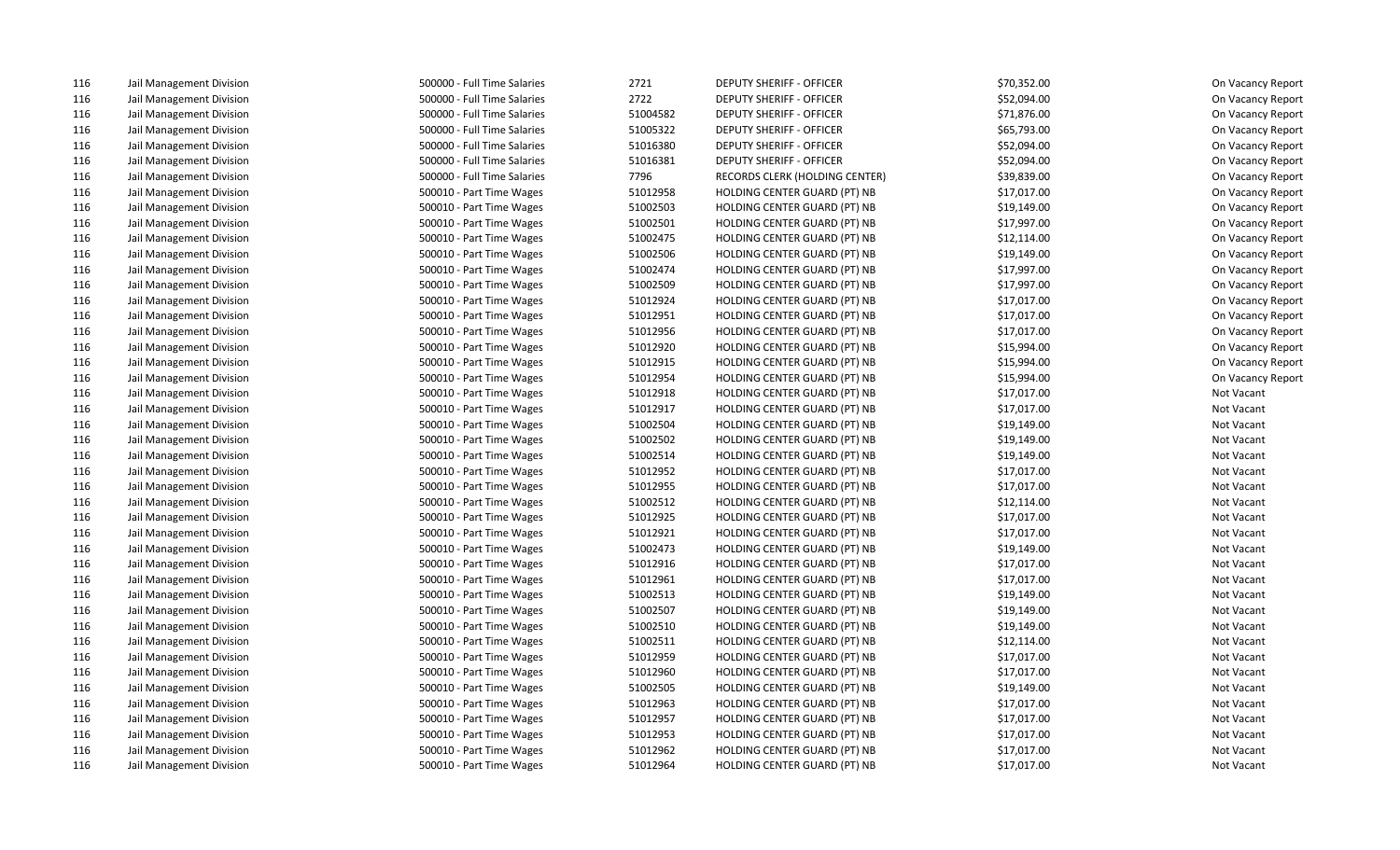| 116 | Jail Management Division | 500000 - Full Time Salaries | 2721     | <b>DEPUTY SHERIFF - OFFICER</b>     | \$70,352.00 | On Vacancy Report |
|-----|--------------------------|-----------------------------|----------|-------------------------------------|-------------|-------------------|
| 116 | Jail Management Division | 500000 - Full Time Salaries | 2722     | <b>DEPUTY SHERIFF - OFFICER</b>     | \$52,094.00 | On Vacancy Report |
| 116 | Jail Management Division | 500000 - Full Time Salaries | 51004582 | <b>DEPUTY SHERIFF - OFFICER</b>     | \$71,876.00 | On Vacancy Report |
| 116 | Jail Management Division | 500000 - Full Time Salaries | 51005322 | <b>DEPUTY SHERIFF - OFFICER</b>     | \$65,793.00 | On Vacancy Report |
| 116 | Jail Management Division | 500000 - Full Time Salaries | 51016380 | <b>DEPUTY SHERIFF - OFFICER</b>     | \$52,094.00 | On Vacancy Report |
| 116 | Jail Management Division | 500000 - Full Time Salaries | 51016381 | <b>DEPUTY SHERIFF - OFFICER</b>     | \$52,094.00 | On Vacancy Report |
| 116 | Jail Management Division | 500000 - Full Time Salaries | 7796     | RECORDS CLERK (HOLDING CENTER)      | \$39,839.00 | On Vacancy Report |
| 116 | Jail Management Division | 500010 - Part Time Wages    | 51012958 | HOLDING CENTER GUARD (PT) NB        | \$17,017.00 | On Vacancy Report |
| 116 | Jail Management Division | 500010 - Part Time Wages    | 51002503 | HOLDING CENTER GUARD (PT) NB        | \$19,149.00 | On Vacancy Report |
| 116 | Jail Management Division | 500010 - Part Time Wages    | 51002501 | HOLDING CENTER GUARD (PT) NB        | \$17,997.00 | On Vacancy Report |
| 116 | Jail Management Division | 500010 - Part Time Wages    | 51002475 | HOLDING CENTER GUARD (PT) NB        | \$12,114.00 | On Vacancy Report |
| 116 | Jail Management Division | 500010 - Part Time Wages    | 51002506 | HOLDING CENTER GUARD (PT) NB        | \$19,149.00 | On Vacancy Report |
| 116 | Jail Management Division | 500010 - Part Time Wages    | 51002474 | HOLDING CENTER GUARD (PT) NB        | \$17,997.00 | On Vacancy Report |
| 116 | Jail Management Division | 500010 - Part Time Wages    | 51002509 | HOLDING CENTER GUARD (PT) NB        | \$17,997.00 | On Vacancy Report |
| 116 | Jail Management Division | 500010 - Part Time Wages    | 51012924 | HOLDING CENTER GUARD (PT) NB        | \$17,017.00 | On Vacancy Report |
| 116 | Jail Management Division | 500010 - Part Time Wages    | 51012951 | HOLDING CENTER GUARD (PT) NB        | \$17,017.00 | On Vacancy Report |
| 116 | Jail Management Division | 500010 - Part Time Wages    | 51012956 | HOLDING CENTER GUARD (PT) NB        | \$17,017.00 | On Vacancy Report |
| 116 | Jail Management Division | 500010 - Part Time Wages    | 51012920 | HOLDING CENTER GUARD (PT) NB        | \$15,994.00 | On Vacancy Report |
| 116 | Jail Management Division | 500010 - Part Time Wages    | 51012915 | HOLDING CENTER GUARD (PT) NB        | \$15,994.00 | On Vacancy Report |
| 116 | Jail Management Division | 500010 - Part Time Wages    | 51012954 | HOLDING CENTER GUARD (PT) NB        | \$15,994.00 | On Vacancy Report |
| 116 | Jail Management Division | 500010 - Part Time Wages    | 51012918 | HOLDING CENTER GUARD (PT) NB        | \$17,017.00 | Not Vacant        |
| 116 | Jail Management Division | 500010 - Part Time Wages    | 51012917 | HOLDING CENTER GUARD (PT) NB        | \$17,017.00 | Not Vacant        |
| 116 | Jail Management Division | 500010 - Part Time Wages    | 51002504 | HOLDING CENTER GUARD (PT) NB        | \$19,149.00 | Not Vacant        |
| 116 | Jail Management Division | 500010 - Part Time Wages    | 51002502 | HOLDING CENTER GUARD (PT) NB        | \$19,149.00 | Not Vacant        |
| 116 | Jail Management Division | 500010 - Part Time Wages    | 51002514 | HOLDING CENTER GUARD (PT) NB        | \$19,149.00 | Not Vacant        |
| 116 | Jail Management Division | 500010 - Part Time Wages    | 51012952 | HOLDING CENTER GUARD (PT) NB        | \$17,017.00 | Not Vacant        |
| 116 | Jail Management Division | 500010 - Part Time Wages    | 51012955 | HOLDING CENTER GUARD (PT) NB        | \$17,017.00 | Not Vacant        |
| 116 | Jail Management Division | 500010 - Part Time Wages    | 51002512 | HOLDING CENTER GUARD (PT) NB        | \$12,114.00 | Not Vacant        |
| 116 | Jail Management Division | 500010 - Part Time Wages    | 51012925 | HOLDING CENTER GUARD (PT) NB        | \$17,017.00 | Not Vacant        |
| 116 | Jail Management Division | 500010 - Part Time Wages    | 51012921 | HOLDING CENTER GUARD (PT) NB        | \$17,017.00 | Not Vacant        |
| 116 | Jail Management Division | 500010 - Part Time Wages    | 51002473 | HOLDING CENTER GUARD (PT) NB        | \$19,149.00 | Not Vacant        |
| 116 | Jail Management Division | 500010 - Part Time Wages    | 51012916 | HOLDING CENTER GUARD (PT) NB        | \$17,017.00 | Not Vacant        |
| 116 | Jail Management Division | 500010 - Part Time Wages    | 51012961 | HOLDING CENTER GUARD (PT) NB        | \$17,017.00 | Not Vacant        |
| 116 | Jail Management Division | 500010 - Part Time Wages    | 51002513 | HOLDING CENTER GUARD (PT) NB        | \$19,149.00 | Not Vacant        |
| 116 | Jail Management Division | 500010 - Part Time Wages    | 51002507 | HOLDING CENTER GUARD (PT) NB        | \$19,149.00 | Not Vacant        |
| 116 | Jail Management Division | 500010 - Part Time Wages    | 51002510 | HOLDING CENTER GUARD (PT) NB        | \$19,149.00 | Not Vacant        |
| 116 | Jail Management Division | 500010 - Part Time Wages    | 51002511 | HOLDING CENTER GUARD (PT) NB        | \$12,114.00 | Not Vacant        |
| 116 | Jail Management Division | 500010 - Part Time Wages    | 51012959 | HOLDING CENTER GUARD (PT) NB        | \$17,017.00 | Not Vacant        |
| 116 | Jail Management Division | 500010 - Part Time Wages    | 51012960 | HOLDING CENTER GUARD (PT) NB        | \$17,017.00 | Not Vacant        |
| 116 | Jail Management Division | 500010 - Part Time Wages    | 51002505 | HOLDING CENTER GUARD (PT) NB        | \$19,149.00 | Not Vacant        |
| 116 | Jail Management Division | 500010 - Part Time Wages    | 51012963 | HOLDING CENTER GUARD (PT) NB        | \$17,017.00 | Not Vacant        |
| 116 | Jail Management Division | 500010 - Part Time Wages    | 51012957 | HOLDING CENTER GUARD (PT) NB        | \$17,017.00 | Not Vacant        |
| 116 | Jail Management Division | 500010 - Part Time Wages    | 51012953 | HOLDING CENTER GUARD (PT) NB        | \$17,017.00 | Not Vacant        |
| 116 | Jail Management Division | 500010 - Part Time Wages    | 51012962 | HOLDING CENTER GUARD (PT) NB        | \$17,017.00 | Not Vacant        |
| 116 | Jail Management Division | 500010 - Part Time Wages    | 51012964 | <b>HOLDING CENTER GUARD (PT) NB</b> | \$17,017.00 | Not Vacant        |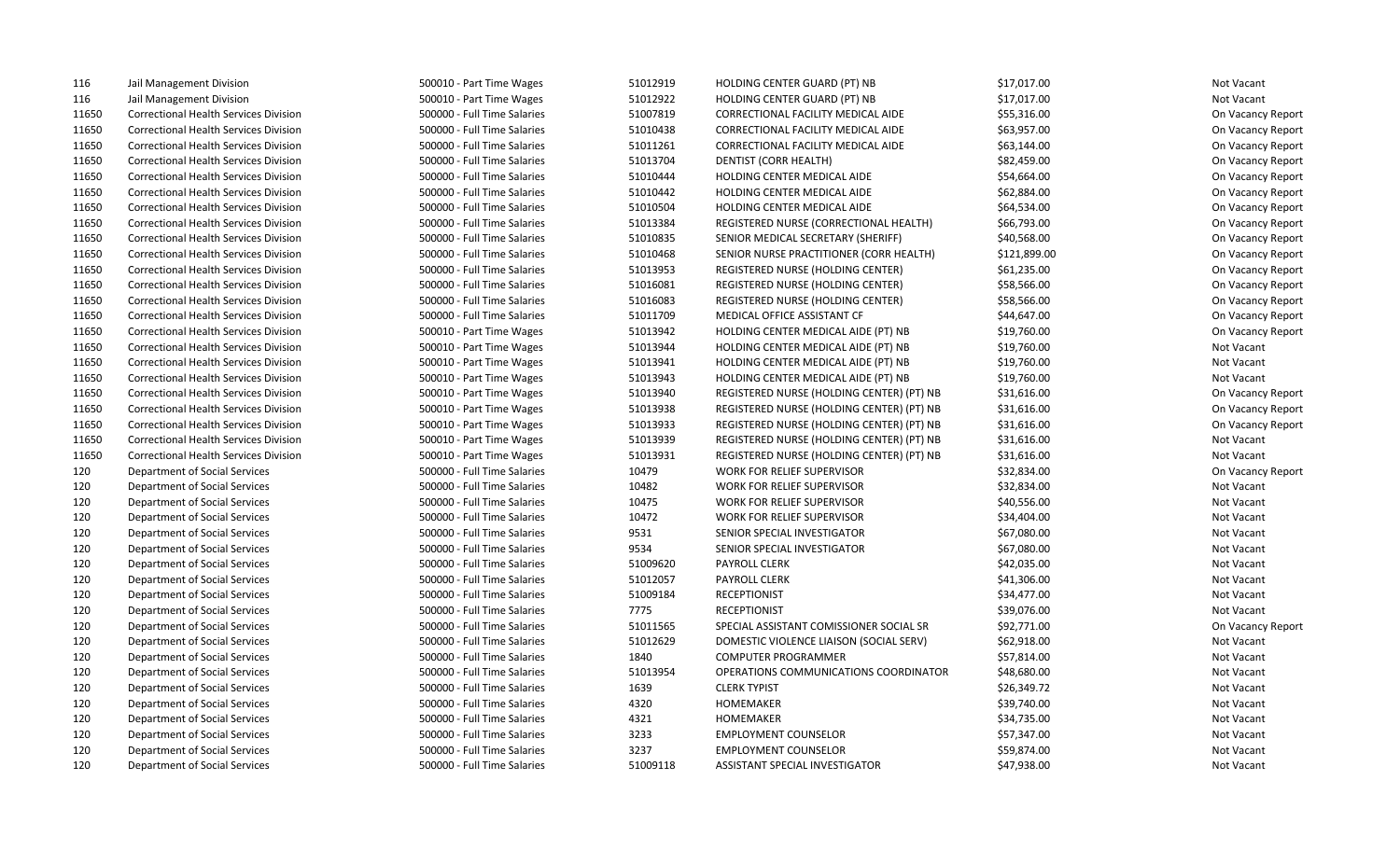| 116   | Jail Management Division                     | 500010 - Part Time Wages    | 51012919 | HOLDING CENTER GUARD (PT) NB              | \$17,017.00  | Not Vacant        |
|-------|----------------------------------------------|-----------------------------|----------|-------------------------------------------|--------------|-------------------|
| 116   | Jail Management Division                     | 500010 - Part Time Wages    | 51012922 | HOLDING CENTER GUARD (PT) NB              | \$17,017.00  | Not Vacant        |
| 11650 | <b>Correctional Health Services Division</b> | 500000 - Full Time Salaries | 51007819 | CORRECTIONAL FACILITY MEDICAL AIDE        | \$55,316.00  | On Vacancy Report |
| 11650 | <b>Correctional Health Services Division</b> | 500000 - Full Time Salaries | 51010438 | CORRECTIONAL FACILITY MEDICAL AIDE        | \$63,957.00  | On Vacancy Report |
| 11650 | <b>Correctional Health Services Division</b> | 500000 - Full Time Salaries | 51011261 | CORRECTIONAL FACILITY MEDICAL AIDE        | \$63,144.00  | On Vacancy Report |
| 11650 | Correctional Health Services Division        | 500000 - Full Time Salaries | 51013704 | DENTIST (CORR HEALTH)                     | \$82,459.00  | On Vacancy Report |
| 11650 | <b>Correctional Health Services Division</b> | 500000 - Full Time Salaries | 51010444 | HOLDING CENTER MEDICAL AIDE               | \$54,664.00  | On Vacancy Report |
| 11650 | <b>Correctional Health Services Division</b> | 500000 - Full Time Salaries | 51010442 | HOLDING CENTER MEDICAL AIDE               | \$62,884.00  | On Vacancy Report |
| 11650 | <b>Correctional Health Services Division</b> | 500000 - Full Time Salaries | 51010504 | HOLDING CENTER MEDICAL AIDE               | \$64,534.00  | On Vacancy Report |
| 11650 | <b>Correctional Health Services Division</b> | 500000 - Full Time Salaries | 51013384 | REGISTERED NURSE (CORRECTIONAL HEALTH)    | \$66,793.00  | On Vacancy Report |
| 11650 | <b>Correctional Health Services Division</b> | 500000 - Full Time Salaries | 51010835 | SENIOR MEDICAL SECRETARY (SHERIFF)        | \$40,568.00  | On Vacancy Report |
| 11650 | <b>Correctional Health Services Division</b> | 500000 - Full Time Salaries | 51010468 | SENIOR NURSE PRACTITIONER (CORR HEALTH)   | \$121,899.00 | On Vacancy Report |
| 11650 | <b>Correctional Health Services Division</b> | 500000 - Full Time Salaries | 51013953 | REGISTERED NURSE (HOLDING CENTER)         | \$61,235.00  | On Vacancy Report |
| 11650 | <b>Correctional Health Services Division</b> | 500000 - Full Time Salaries | 51016081 | REGISTERED NURSE (HOLDING CENTER)         | \$58,566.00  | On Vacancy Report |
| 11650 | <b>Correctional Health Services Division</b> | 500000 - Full Time Salaries | 51016083 | REGISTERED NURSE (HOLDING CENTER)         | \$58,566.00  | On Vacancy Report |
| 11650 | <b>Correctional Health Services Division</b> | 500000 - Full Time Salaries | 51011709 | MEDICAL OFFICE ASSISTANT CF               | \$44,647.00  | On Vacancy Report |
| 11650 | <b>Correctional Health Services Division</b> | 500010 - Part Time Wages    | 51013942 | HOLDING CENTER MEDICAL AIDE (PT) NB       | \$19,760.00  | On Vacancy Report |
| 11650 | <b>Correctional Health Services Division</b> | 500010 - Part Time Wages    | 51013944 | HOLDING CENTER MEDICAL AIDE (PT) NB       | \$19,760.00  | Not Vacant        |
| 11650 | <b>Correctional Health Services Division</b> | 500010 - Part Time Wages    | 51013941 | HOLDING CENTER MEDICAL AIDE (PT) NB       | \$19,760.00  | Not Vacant        |
| 11650 | <b>Correctional Health Services Division</b> | 500010 - Part Time Wages    | 51013943 | HOLDING CENTER MEDICAL AIDE (PT) NB       | \$19,760.00  | Not Vacant        |
| 11650 | <b>Correctional Health Services Division</b> | 500010 - Part Time Wages    | 51013940 | REGISTERED NURSE (HOLDING CENTER) (PT) NB | \$31,616.00  | On Vacancy Report |
| 11650 | <b>Correctional Health Services Division</b> | 500010 - Part Time Wages    | 51013938 | REGISTERED NURSE (HOLDING CENTER) (PT) NB | \$31,616.00  | On Vacancy Report |
| 11650 | <b>Correctional Health Services Division</b> | 500010 - Part Time Wages    | 51013933 | REGISTERED NURSE (HOLDING CENTER) (PT) NB | \$31,616.00  | On Vacancy Report |
| 11650 | <b>Correctional Health Services Division</b> | 500010 - Part Time Wages    | 51013939 | REGISTERED NURSE (HOLDING CENTER) (PT) NB | \$31,616.00  | Not Vacant        |
| 11650 | <b>Correctional Health Services Division</b> | 500010 - Part Time Wages    | 51013931 | REGISTERED NURSE (HOLDING CENTER) (PT) NB | \$31,616.00  | Not Vacant        |
| 120   | Department of Social Services                | 500000 - Full Time Salaries | 10479    | WORK FOR RELIEF SUPERVISOR                | \$32,834.00  | On Vacancy Report |
| 120   | Department of Social Services                | 500000 - Full Time Salaries | 10482    | WORK FOR RELIEF SUPERVISOR                | \$32,834.00  | Not Vacant        |
| 120   | Department of Social Services                | 500000 - Full Time Salaries | 10475    | WORK FOR RELIEF SUPERVISOR                | \$40,556.00  | Not Vacant        |
| 120   | Department of Social Services                | 500000 - Full Time Salaries | 10472    | WORK FOR RELIEF SUPERVISOR                | \$34,404.00  | Not Vacant        |
| 120   | Department of Social Services                | 500000 - Full Time Salaries | 9531     | SENIOR SPECIAL INVESTIGATOR               | \$67,080.00  | Not Vacant        |
| 120   | Department of Social Services                | 500000 - Full Time Salaries | 9534     | SENIOR SPECIAL INVESTIGATOR               | \$67,080.00  | Not Vacant        |
| 120   | Department of Social Services                | 500000 - Full Time Salaries | 51009620 | PAYROLL CLERK                             | \$42,035.00  | Not Vacant        |
| 120   | Department of Social Services                | 500000 - Full Time Salaries | 51012057 | <b>PAYROLL CLERK</b>                      | \$41,306.00  | Not Vacant        |
| 120   | Department of Social Services                | 500000 - Full Time Salaries | 51009184 | <b>RECEPTIONIST</b>                       | \$34,477.00  | Not Vacant        |
| 120   | Department of Social Services                | 500000 - Full Time Salaries | 7775     | <b>RECEPTIONIST</b>                       | \$39,076.00  | Not Vacant        |
| 120   | Department of Social Services                | 500000 - Full Time Salaries | 51011565 | SPECIAL ASSISTANT COMISSIONER SOCIAL SR   | \$92,771.00  | On Vacancy Report |
| 120   | Department of Social Services                | 500000 - Full Time Salaries | 51012629 | DOMESTIC VIOLENCE LIAISON (SOCIAL SERV)   | \$62,918.00  | Not Vacant        |
| 120   | Department of Social Services                | 500000 - Full Time Salaries | 1840     | <b>COMPUTER PROGRAMMER</b>                | \$57,814.00  | Not Vacant        |
| 120   | Department of Social Services                | 500000 - Full Time Salaries | 51013954 | OPERATIONS COMMUNICATIONS COORDINATOR     | \$48,680.00  | Not Vacant        |
| 120   | Department of Social Services                | 500000 - Full Time Salaries | 1639     | <b>CLERK TYPIST</b>                       | \$26,349.72  | Not Vacant        |
| 120   | Department of Social Services                | 500000 - Full Time Salaries | 4320     | HOMEMAKER                                 | \$39,740.00  | Not Vacant        |
| 120   | Department of Social Services                | 500000 - Full Time Salaries | 4321     | HOMEMAKER                                 | \$34,735.00  | Not Vacant        |
| 120   | Department of Social Services                | 500000 - Full Time Salaries | 3233     | <b>EMPLOYMENT COUNSELOR</b>               | \$57,347.00  | Not Vacant        |
| 120   | Department of Social Services                | 500000 - Full Time Salaries | 3237     | <b>EMPLOYMENT COUNSELOR</b>               | \$59,874.00  | Not Vacant        |
| 120   | Department of Social Services                | 500000 - Full Time Salaries | 51009118 | <b>ASSISTANT SPECIAL INVESTIGATOR</b>     | \$47,938.00  | Not Vacant        |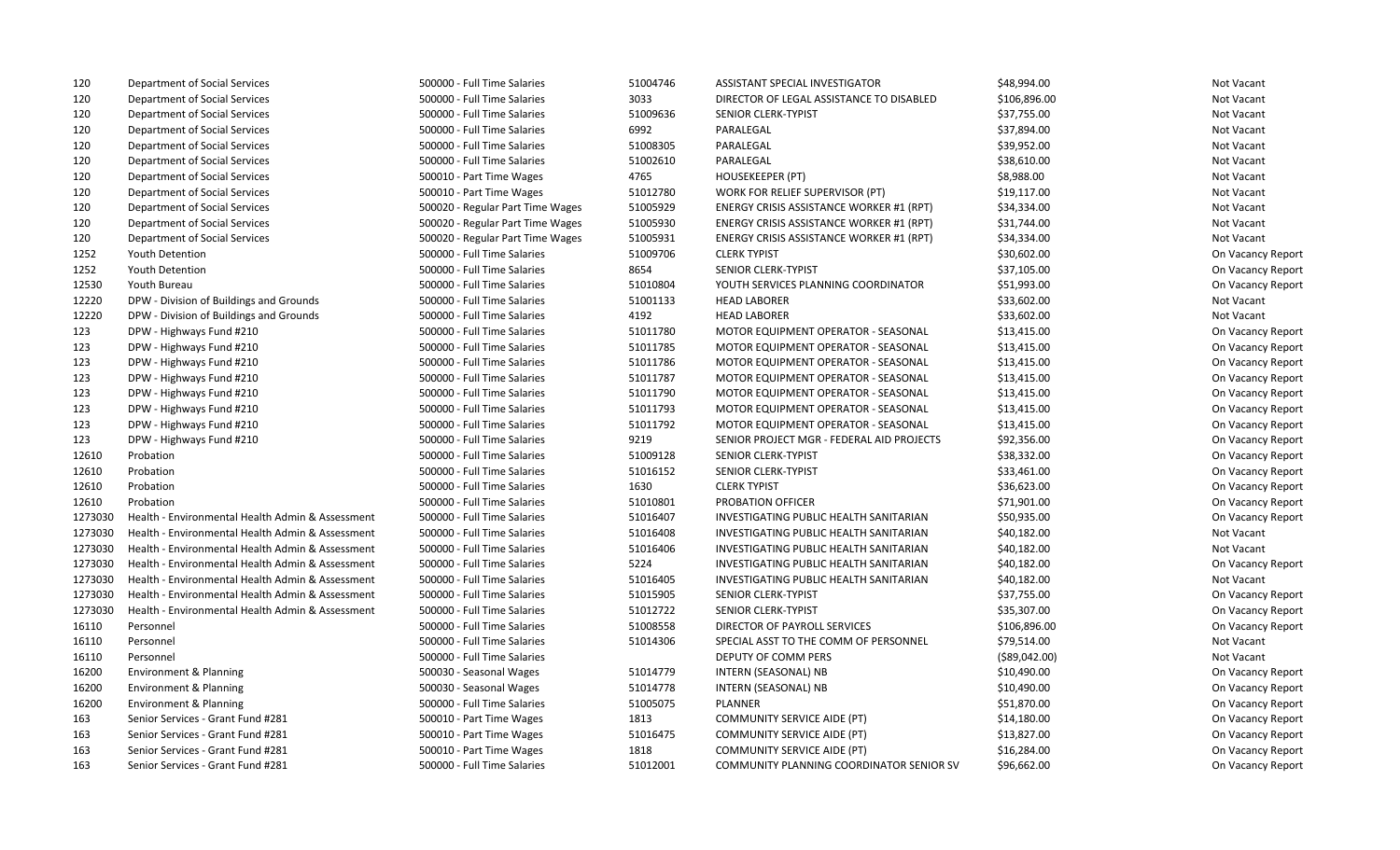| 120     | Department of Social Services                    | 500000 - Full Time Salaries      | 51004746 | ASSISTANT SPECIAL INVESTIGATOR                | \$48,994.00    | Not Vacant        |
|---------|--------------------------------------------------|----------------------------------|----------|-----------------------------------------------|----------------|-------------------|
| 120     | Department of Social Services                    | 500000 - Full Time Salaries      | 3033     | DIRECTOR OF LEGAL ASSISTANCE TO DISABLED      | \$106,896.00   | Not Vacant        |
| 120     | Department of Social Services                    | 500000 - Full Time Salaries      | 51009636 | SENIOR CLERK-TYPIST                           | \$37,755.00    | Not Vacant        |
| 120     | Department of Social Services                    | 500000 - Full Time Salaries      | 6992     | PARALEGAL                                     | \$37,894.00    | Not Vacant        |
| 120     | Department of Social Services                    | 500000 - Full Time Salaries      | 51008305 | PARALEGAL                                     | \$39,952.00    | Not Vacant        |
| 120     | Department of Social Services                    | 500000 - Full Time Salaries      | 51002610 | PARALEGAL                                     | \$38,610.00    | Not Vacant        |
| 120     | Department of Social Services                    | 500010 - Part Time Wages         | 4765     | <b>HOUSEKEEPER (PT)</b>                       | \$8,988.00     | Not Vacant        |
| 120     | Department of Social Services                    | 500010 - Part Time Wages         | 51012780 | WORK FOR RELIEF SUPERVISOR (PT)               | \$19,117.00    | Not Vacant        |
| 120     | Department of Social Services                    | 500020 - Regular Part Time Wages | 51005929 | ENERGY CRISIS ASSISTANCE WORKER #1 (RPT)      | \$34,334.00    | Not Vacant        |
| 120     | Department of Social Services                    | 500020 - Regular Part Time Wages | 51005930 | ENERGY CRISIS ASSISTANCE WORKER #1 (RPT)      | \$31,744.00    | Not Vacant        |
| 120     | Department of Social Services                    | 500020 - Regular Part Time Wages | 51005931 | ENERGY CRISIS ASSISTANCE WORKER #1 (RPT)      | \$34,334.00    | Not Vacant        |
| 1252    | Youth Detention                                  | 500000 - Full Time Salaries      | 51009706 | <b>CLERK TYPIST</b>                           | \$30,602.00    | On Vacancy Report |
| 1252    | <b>Youth Detention</b>                           | 500000 - Full Time Salaries      | 8654     | SENIOR CLERK-TYPIST                           | \$37,105.00    | On Vacancy Report |
| 12530   | Youth Bureau                                     | 500000 - Full Time Salaries      | 51010804 | YOUTH SERVICES PLANNING COORDINATOR           | \$51,993.00    | On Vacancy Report |
| 12220   | DPW - Division of Buildings and Grounds          | 500000 - Full Time Salaries      | 51001133 | <b>HEAD LABORER</b>                           | \$33,602.00    | Not Vacant        |
| 12220   | DPW - Division of Buildings and Grounds          | 500000 - Full Time Salaries      | 4192     | <b>HEAD LABORER</b>                           | \$33,602.00    | Not Vacant        |
| 123     | DPW - Highways Fund #210                         | 500000 - Full Time Salaries      | 51011780 | MOTOR EQUIPMENT OPERATOR - SEASONAL           | \$13,415.00    | On Vacancy Report |
| 123     | DPW - Highways Fund #210                         | 500000 - Full Time Salaries      | 51011785 | MOTOR EQUIPMENT OPERATOR - SEASONAL           | \$13,415.00    | On Vacancy Report |
| 123     | DPW - Highways Fund #210                         | 500000 - Full Time Salaries      | 51011786 | MOTOR EQUIPMENT OPERATOR - SEASONAL           | \$13,415.00    | On Vacancy Report |
| 123     | DPW - Highways Fund #210                         | 500000 - Full Time Salaries      | 51011787 | <b>MOTOR EQUIPMENT OPERATOR - SEASONAL</b>    | \$13,415.00    | On Vacancy Report |
| 123     | DPW - Highways Fund #210                         | 500000 - Full Time Salaries      | 51011790 | MOTOR EQUIPMENT OPERATOR - SEASONAL           | \$13,415.00    | On Vacancy Report |
| 123     | DPW - Highways Fund #210                         | 500000 - Full Time Salaries      | 51011793 | MOTOR EQUIPMENT OPERATOR - SEASONAL           | \$13,415.00    | On Vacancy Report |
| 123     | DPW - Highways Fund #210                         | 500000 - Full Time Salaries      | 51011792 | MOTOR EQUIPMENT OPERATOR - SEASONAL           | \$13,415.00    | On Vacancy Report |
| 123     | DPW - Highways Fund #210                         | 500000 - Full Time Salaries      | 9219     | SENIOR PROJECT MGR - FEDERAL AID PROJECTS     | \$92,356.00    | On Vacancy Report |
| 12610   | Probation                                        | 500000 - Full Time Salaries      | 51009128 | SENIOR CLERK-TYPIST                           | \$38,332.00    | On Vacancy Report |
| 12610   | Probation                                        | 500000 - Full Time Salaries      | 51016152 | SENIOR CLERK-TYPIST                           | \$33,461.00    | On Vacancy Report |
| 12610   | Probation                                        | 500000 - Full Time Salaries      | 1630     | <b>CLERK TYPIST</b>                           | \$36,623.00    | On Vacancy Report |
| 12610   | Probation                                        | 500000 - Full Time Salaries      | 51010801 | PROBATION OFFICER                             | \$71,901.00    | On Vacancy Report |
| 1273030 | Health - Environmental Health Admin & Assessment | 500000 - Full Time Salaries      | 51016407 | INVESTIGATING PUBLIC HEALTH SANITARIAN        | \$50,935.00    | On Vacancy Report |
| 1273030 | Health - Environmental Health Admin & Assessment | 500000 - Full Time Salaries      | 51016408 | INVESTIGATING PUBLIC HEALTH SANITARIAN        | \$40,182.00    | Not Vacant        |
| 1273030 | Health - Environmental Health Admin & Assessment | 500000 - Full Time Salaries      | 51016406 | INVESTIGATING PUBLIC HEALTH SANITARIAN        | \$40,182.00    | Not Vacant        |
| 1273030 | Health - Environmental Health Admin & Assessment | 500000 - Full Time Salaries      | 5224     | INVESTIGATING PUBLIC HEALTH SANITARIAN        | \$40,182.00    | On Vacancy Report |
| 1273030 | Health - Environmental Health Admin & Assessment | 500000 - Full Time Salaries      | 51016405 | <b>INVESTIGATING PUBLIC HEALTH SANITARIAN</b> | \$40,182.00    | Not Vacant        |
| 1273030 | Health - Environmental Health Admin & Assessment | 500000 - Full Time Salaries      | 51015905 | SENIOR CLERK-TYPIST                           | \$37,755.00    | On Vacancy Report |
| 1273030 | Health - Environmental Health Admin & Assessment | 500000 - Full Time Salaries      | 51012722 | SENIOR CLERK-TYPIST                           | \$35,307.00    | On Vacancy Report |
| 16110   | Personnel                                        | 500000 - Full Time Salaries      | 51008558 | DIRECTOR OF PAYROLL SERVICES                  | \$106,896.00   | On Vacancy Report |
| 16110   | Personnel                                        | 500000 - Full Time Salaries      | 51014306 | SPECIAL ASST TO THE COMM OF PERSONNEL         | \$79,514.00    | Not Vacant        |
| 16110   | Personnel                                        | 500000 - Full Time Salaries      |          | DEPUTY OF COMM PERS                           | ( \$89,042.00) | Not Vacant        |
| 16200   | Environment & Planning                           | 500030 - Seasonal Wages          | 51014779 | INTERN (SEASONAL) NB                          | \$10,490.00    | On Vacancy Report |
| 16200   | Environment & Planning                           | 500030 - Seasonal Wages          | 51014778 | INTERN (SEASONAL) NB                          | \$10,490.00    | On Vacancy Report |
| 16200   | Environment & Planning                           | 500000 - Full Time Salaries      | 51005075 | <b>PLANNER</b>                                | \$51,870.00    | On Vacancy Report |
| 163     | Senior Services - Grant Fund #281                | 500010 - Part Time Wages         | 1813     | COMMUNITY SERVICE AIDE (PT)                   | \$14,180.00    | On Vacancy Report |
| 163     | Senior Services - Grant Fund #281                | 500010 - Part Time Wages         | 51016475 | <b>COMMUNITY SERVICE AIDE (PT)</b>            | \$13,827.00    | On Vacancy Report |
| 163     | Senior Services - Grant Fund #281                | 500010 - Part Time Wages         | 1818     | <b>COMMUNITY SERVICE AIDE (PT)</b>            | \$16,284.00    | On Vacancy Report |
| 163     | Senior Services - Grant Fund #281                | 500000 - Full Time Salaries      | 51012001 | COMMUNITY PLANNING COORDINATOR SENIOR SV      | \$96,662.00    | On Vacancy Report |